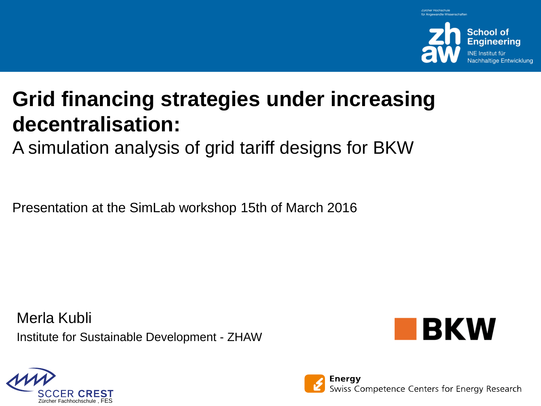

# **Grid financing strategies under increasing decentralisation:**

A simulation analysis of grid tariff designs for BKW

Presentation at the SimLab workshop 15th of March 2016

Merla Kubli Institute for Sustainable Development - ZHAW





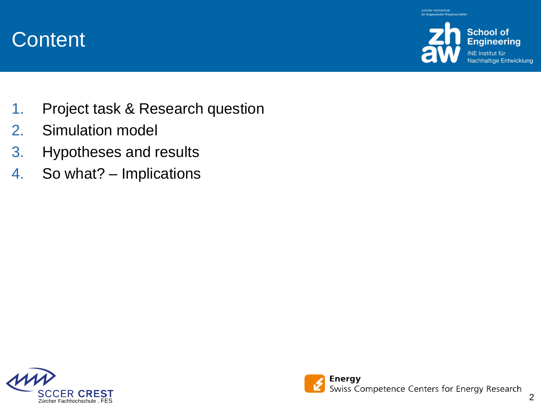

**Content** 

- 1. Project task & Research question
- 2. Simulation model
- 3. Hypotheses and results
- 4. So what? Implications

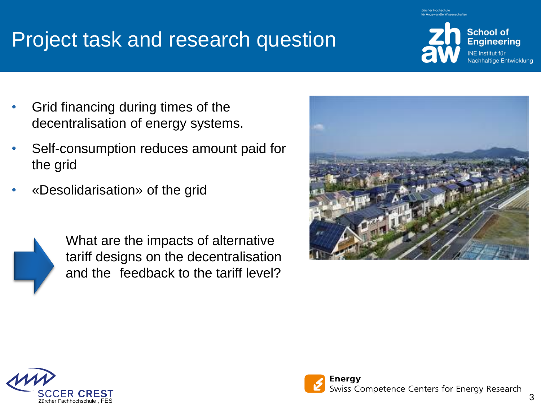# Project task and research question

- Grid financing during times of the decentralisation of energy systems.
- Self-consumption reduces amount paid for the grid
- «Desolidarisation» of the grid



What are the impacts of alternative tariff designs on the decentralisation and the feedback to the tariff level?



**School of Engineering** INE Institut für

**Nachhaltige Entwicklung** 



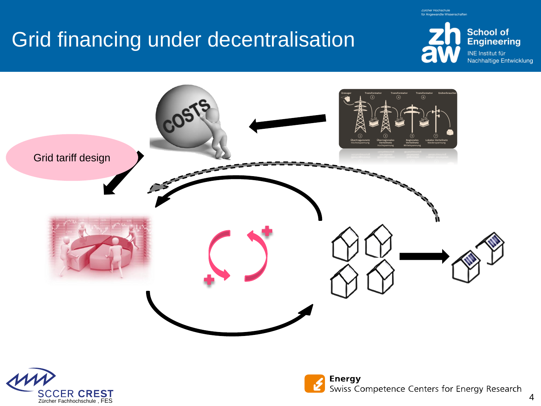# Grid financing under decentralisation



für Angewandte Wissenschafter





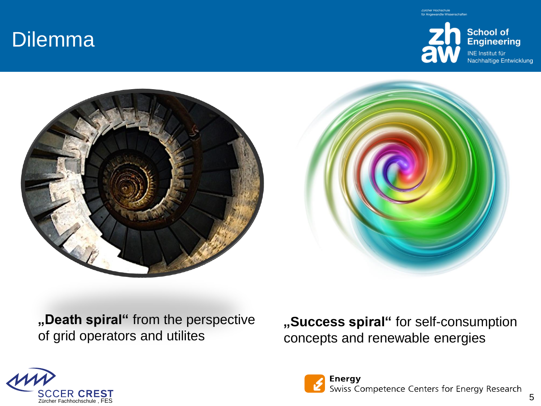## Dilemma







**"Death spiral"** from the perspective of grid operators and utilites

**"Success spiral"** for self-consumption concepts and renewable energies



**Energy** Swiss Competence Centers for Energy Research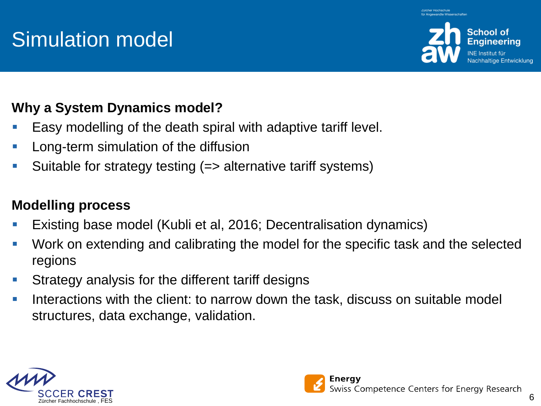# Simulation model



altige Entwicklung

### **Why a System Dynamics model?**

- Easy modelling of the death spiral with adaptive tariff level.
- Long-term simulation of the diffusion
- Suitable for strategy testing (=> alternative tariff systems)

### **Modelling process**

- Existing base model (Kubli et al, 2016; Decentralisation dynamics)
- Work on extending and calibrating the model for the specific task and the selected regions
- Strategy analysis for the different tariff designs
- Interactions with the client: to narrow down the task, discuss on suitable model structures, data exchange, validation.



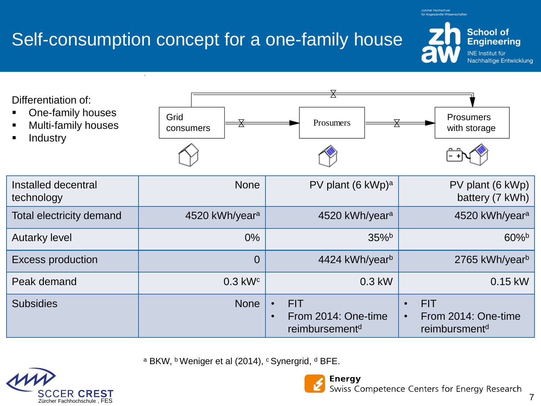

# Self-consumption concept for a one-family house

Differentiation of:

- One-family houses
- Multi-family houses
- Industry

| Installed decentral<br>technology | <b>None</b>                | PV plant (6 kWp) <sup>a</sup>                                                | PV plant (6 kWp)<br>battery (7 kWh)                                         |
|-----------------------------------|----------------------------|------------------------------------------------------------------------------|-----------------------------------------------------------------------------|
| Total electricity demand          | 4520 kWh/year <sup>a</sup> | 4520 kWh/year <sup>a</sup>                                                   | 4520 kWh/yeara                                                              |
| <b>Autarky level</b>              | $0\%$                      | $35\%$                                                                       | $60\%$                                                                      |
| Excess production                 | $\overline{0}$             | 4424 kWh/yearb                                                               | 2765 kWh/yearb                                                              |
| Peak demand                       | $0.3$ kW $c$               | $0.3$ kW                                                                     | 0.15 kW                                                                     |
| <b>Subsidies</b>                  | <b>None</b>                | <b>FIT</b><br>From 2014: One-time<br>$\bullet$<br>reimbursement <sup>d</sup> | <b>FIT</b><br>$\bullet$<br>From 2014: One-time<br>reimbursment <sup>d</sup> |

a BKW, b Weniger et al (2014), <sup>c</sup> Synergrid, <sup>d</sup> BFE.







für Angewandte Wissenschaften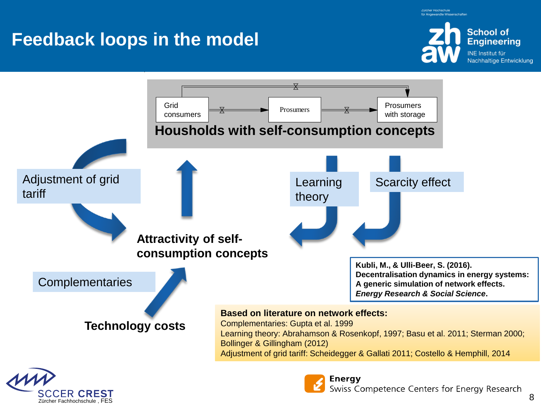für Angewandte Wissenschafte

## **Feedback loops in the model**

Zürcher Fachhochschule , FES





8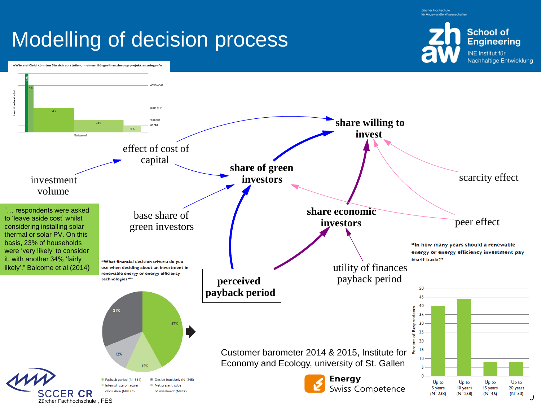für Angewandte Wissenschaften

# Modelling of decision process



«Wie viel Geld könnten Sie sich vorstellen, in einem Bürgerfinanzierungsprojekt anzulegen?»

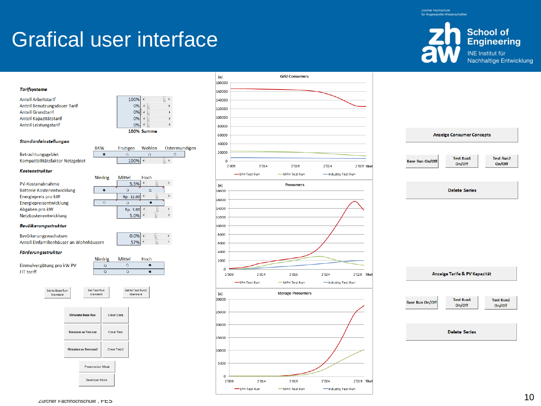# Grafical user interface

**BKW** 

 $\bullet$ 



#### **Tarifsysteme**

| <b>Anteil Arbeitstarif</b>   |
|------------------------------|
| Anteil Benutzungsdauer Tarif |
| <b>Anteil Grundtarif</b>     |
| Anteil Kapazitätstarif       |
| <b>Anteil Leistungstarif</b> |

Standardeinstellungen

Betrachtungsgebiet Kompatibilitätsfaktor Netzgebiet

#### Kostenstruktur

PV-Kostenabnahme Batterie-Kostenentwicklung Energiepreis pro kW Energiepreisentwicklung Abgaben pro kW Netzkostenentwicklung

#### Niedrig Mittel Hoch 5.5%  $\overline{\mathbf{A}}$  $\mathbb{F}$  $\bullet$  $\circ$  $\circ$ Rp. 11.00  $\blacktriangleright$  $\overline{\circ}$  $\circ$  $\mathbf{a}$ Rp. 3.00 4  $\mathbb{R}$ 5.0%

 $0.0%$ 

57%

Hoch

 $\bullet$ 

 $\circledcirc$ 

100%

0%  $\overline{a}$ 

 $0%$  $0%$ 

Frutigen Wohlen

100% ←

 $\bullet$ 

 $\overline{a}$ 0%

100% Summe

 $\circ$ 

 $\mathbb{R}$ 

 $\rightarrow$ 

Ostermundigen

 $\circ$ 

 $\mathbb{R}$ 

 $\mathbb{R}$ 

 $\overline{a}$ 

#### Bevölkerungsstruktur

Bevölkerungswachstum Anteil Einfamilienhäuser an Wohnhäusern

#### Förderungsstruktur









## **Anzeige Consumer Concepts**

On/Off

**Test Run1 Base Run On/Off** 

**Test Run2** On/Off

**Delete Series** 

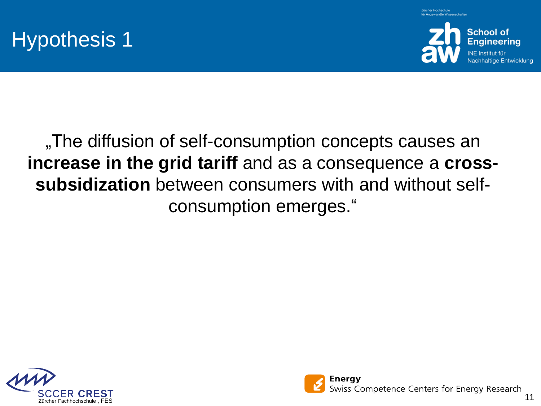





## "The diffusion of self-consumption concepts causes an **increase in the grid tariff** and as a consequence a **crosssubsidization** between consumers with and without selfconsumption emerges."



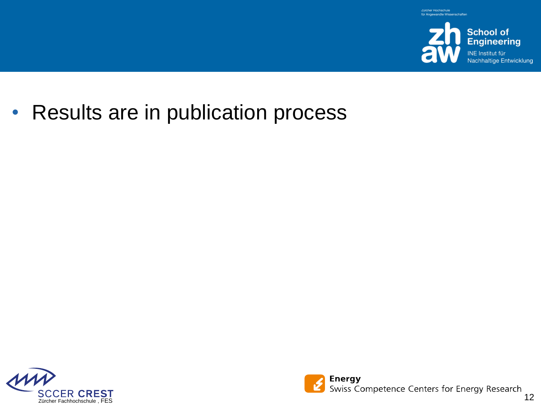

• Results are in publication process



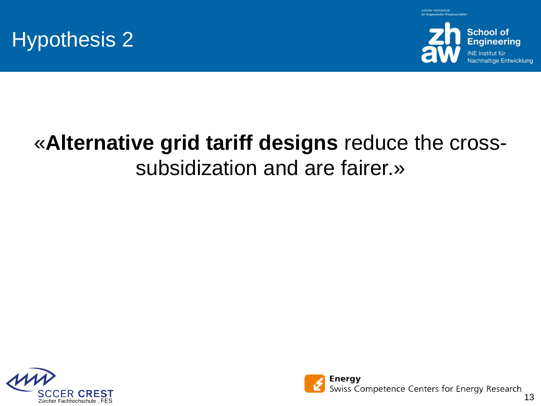





# «**Alternative grid tariff designs** reduce the crosssubsidization and are fairer.»



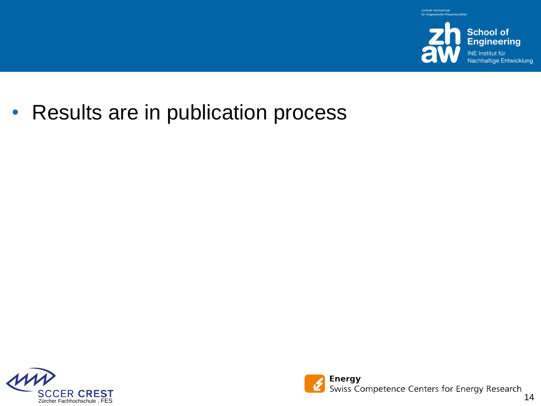

• Results are in publication process



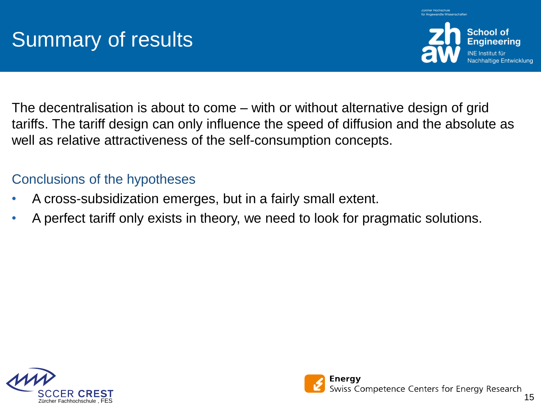

The decentralisation is about to come – with or without alternative design of grid tariffs. The tariff design can only influence the speed of diffusion and the absolute as well as relative attractiveness of the self-consumption concepts.

### Conclusions of the hypotheses

- A cross-subsidization emerges, but in a fairly small extent.
- A perfect tariff only exists in theory, we need to look for pragmatic solutions.



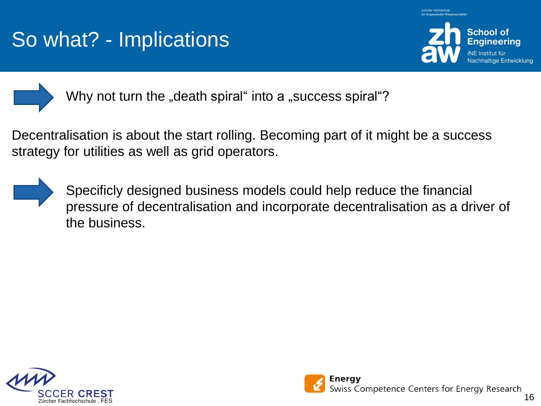# So what? - Implications





Why not turn the "death spiral" into a "success spiral"?

Decentralisation is about the start rolling. Becoming part of it might be a success strategy for utilities as well as grid operators.



Specificly designed business models could help reduce the financial pressure of decentralisation and incorporate decentralisation as a driver of the business.